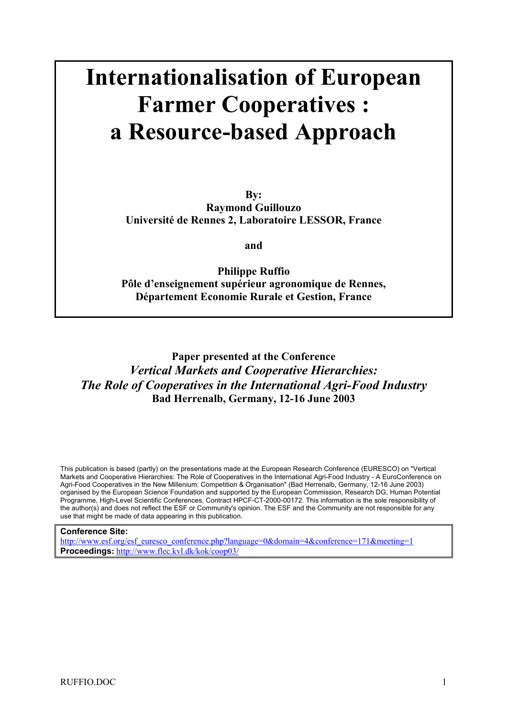# **Internationalisation of European Farmer Cooperatives : a Resource-based Approach**

**By: Raymond Guillouzo Université de Rennes 2, Laboratoire LESSOR, France** 

**and** 

**Philippe Ruffio Pôle d'enseignement supérieur agronomique de Rennes, Département Economie Rurale et Gestion, France** 

**Paper presented at the Conference**  *Vertical Markets and Cooperative Hierarchies: The Role of Cooperatives in the International Agri-Food Industry* **Bad Herrenalb, Germany, 12-16 June 2003** 

This publication is based (partly) on the presentations made at the European Research Conference (EURESCO) on "Vertical Markets and Cooperative Hierarchies: The Role of Cooperatives in the International Agri-Food Industry - A EuroConference on Agri-Food Cooperatives in the New Millenium: Competition & Organisation" (Bad Herrenalb, Germany, 12-16 June 2003) organised by the European Science Foundation and supported by the European Commission, Research DG, Human Potential Programme, High-Level Scientific Conferences, Contract HPCF-CT-2000-00172. This information is the sole responsibility of the author(s) and does not reflect the ESF or Community's opinion. The ESF and the Community are not responsible for any use that might be made of data appearing in this publication.

#### **Conference Site:**

http://www.esf.org/esf\_euresco\_conference.php?language=0&domain=4&conference=171&meeting=1 **Proceedings:** http://www.flec.kvl.dk/kok/coop03/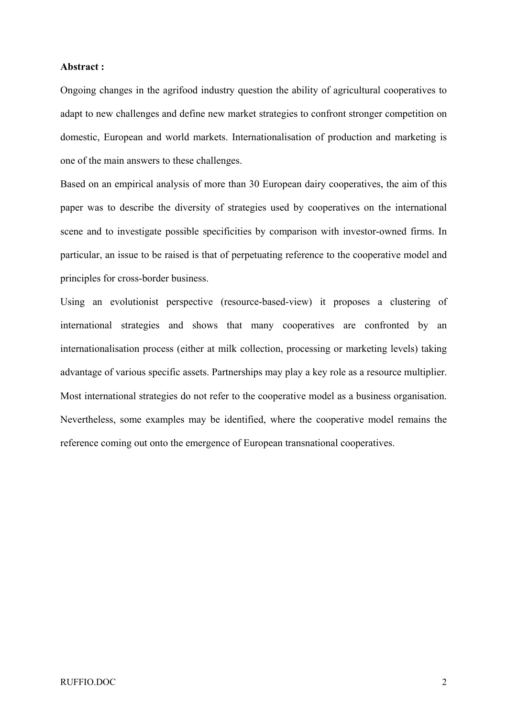# **Abstract :**

Ongoing changes in the agrifood industry question the ability of agricultural cooperatives to adapt to new challenges and define new market strategies to confront stronger competition on domestic, European and world markets. Internationalisation of production and marketing is one of the main answers to these challenges.

Based on an empirical analysis of more than 30 European dairy cooperatives, the aim of this paper was to describe the diversity of strategies used by cooperatives on the international scene and to investigate possible specificities by comparison with investor-owned firms. In particular, an issue to be raised is that of perpetuating reference to the cooperative model and principles for cross-border business.

Using an evolutionist perspective (resource-based-view) it proposes a clustering of international strategies and shows that many cooperatives are confronted by an internationalisation process (either at milk collection, processing or marketing levels) taking advantage of various specific assets. Partnerships may play a key role as a resource multiplier. Most international strategies do not refer to the cooperative model as a business organisation. Nevertheless, some examples may be identified, where the cooperative model remains the reference coming out onto the emergence of European transnational cooperatives.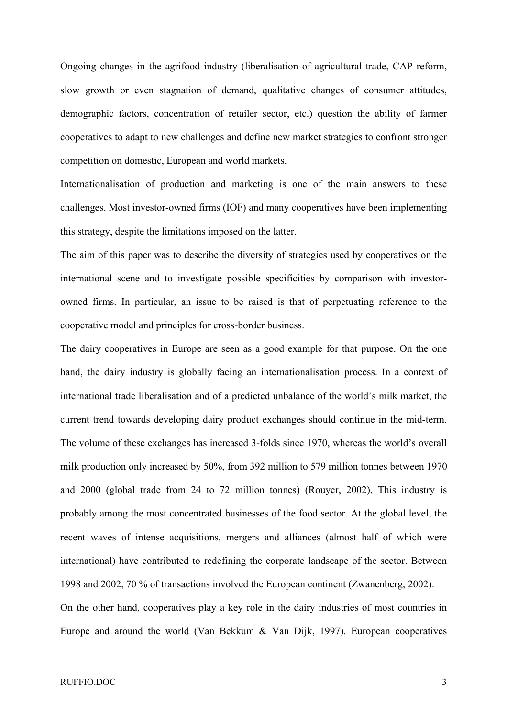Ongoing changes in the agrifood industry (liberalisation of agricultural trade, CAP reform, slow growth or even stagnation of demand, qualitative changes of consumer attitudes, demographic factors, concentration of retailer sector, etc.) question the ability of farmer cooperatives to adapt to new challenges and define new market strategies to confront stronger competition on domestic, European and world markets.

Internationalisation of production and marketing is one of the main answers to these challenges. Most investor-owned firms (IOF) and many cooperatives have been implementing this strategy, despite the limitations imposed on the latter.

The aim of this paper was to describe the diversity of strategies used by cooperatives on the international scene and to investigate possible specificities by comparison with investorowned firms. In particular, an issue to be raised is that of perpetuating reference to the cooperative model and principles for cross-border business.

The dairy cooperatives in Europe are seen as a good example for that purpose. On the one hand, the dairy industry is globally facing an internationalisation process. In a context of international trade liberalisation and of a predicted unbalance of the world's milk market, the current trend towards developing dairy product exchanges should continue in the mid-term. The volume of these exchanges has increased 3-folds since 1970, whereas the world's overall milk production only increased by 50%, from 392 million to 579 million tonnes between 1970 and 2000 (global trade from 24 to 72 million tonnes) (Rouyer, 2002). This industry is probably among the most concentrated businesses of the food sector. At the global level, the recent waves of intense acquisitions, mergers and alliances (almost half of which were international) have contributed to redefining the corporate landscape of the sector. Between 1998 and 2002, 70 % of transactions involved the European continent (Zwanenberg, 2002).

On the other hand, cooperatives play a key role in the dairy industries of most countries in Europe and around the world (Van Bekkum & Van Dijk, 1997). European cooperatives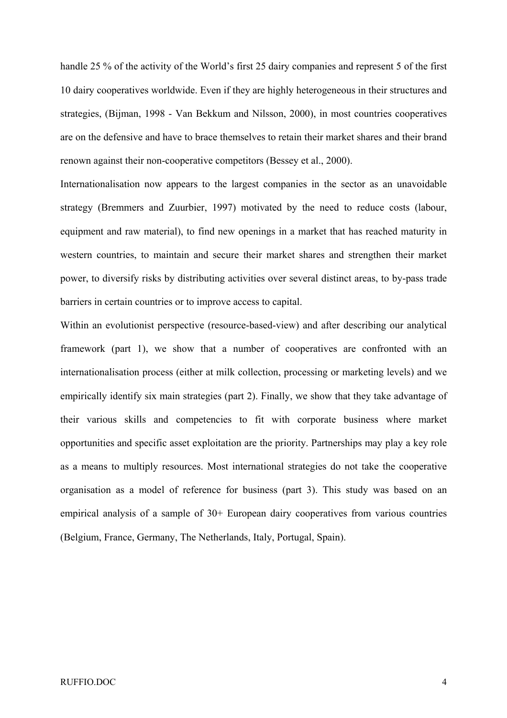handle 25 % of the activity of the World's first 25 dairy companies and represent 5 of the first 10 dairy cooperatives worldwide. Even if they are highly heterogeneous in their structures and strategies, (Bijman, 1998 - Van Bekkum and Nilsson, 2000), in most countries cooperatives are on the defensive and have to brace themselves to retain their market shares and their brand renown against their non-cooperative competitors (Bessey et al., 2000).

Internationalisation now appears to the largest companies in the sector as an unavoidable strategy (Bremmers and Zuurbier, 1997) motivated by the need to reduce costs (labour, equipment and raw material), to find new openings in a market that has reached maturity in western countries, to maintain and secure their market shares and strengthen their market power, to diversify risks by distributing activities over several distinct areas, to by-pass trade barriers in certain countries or to improve access to capital.

Within an evolutionist perspective (resource-based-view) and after describing our analytical framework (part 1), we show that a number of cooperatives are confronted with an internationalisation process (either at milk collection, processing or marketing levels) and we empirically identify six main strategies (part 2). Finally, we show that they take advantage of their various skills and competencies to fit with corporate business where market opportunities and specific asset exploitation are the priority. Partnerships may play a key role as a means to multiply resources. Most international strategies do not take the cooperative organisation as a model of reference for business (part 3). This study was based on an empirical analysis of a sample of 30+ European dairy cooperatives from various countries (Belgium, France, Germany, The Netherlands, Italy, Portugal, Spain).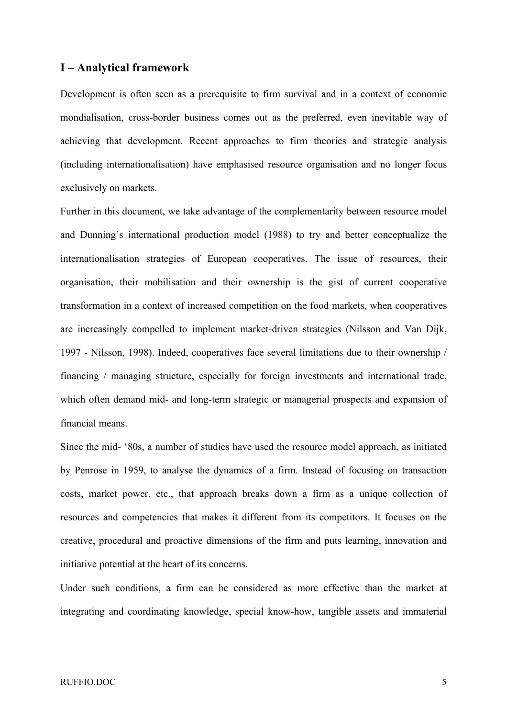# **I – Analytical framework**

Development is often seen as a prerequisite to firm survival and in a context of economic mondialisation, cross-border business comes out as the preferred, even inevitable way of achieving that development. Recent approaches to firm theories and strategic analysis (including internationalisation) have emphasised resource organisation and no longer focus exclusively on markets.

Further in this document, we take advantage of the complementarity between resource model and Dunning's international production model (1988) to try and better conceptualize the internationalisation strategies of European cooperatives. The issue of resources, their organisation, their mobilisation and their ownership is the gist of current cooperative transformation in a context of increased competition on the food markets, when cooperatives are increasingly compelled to implement market-driven strategies (Nilsson and Van Dijk, 1997 - Nilsson, 1998). Indeed, cooperatives face several limitations due to their ownership / financing / managing structure, especially for foreign investments and international trade, which often demand mid- and long-term strategic or managerial prospects and expansion of financial means.

Since the mid- '80s, a number of studies have used the resource model approach, as initiated by Penrose in 1959, to analyse the dynamics of a firm. Instead of focusing on transaction costs, market power, etc., that approach breaks down a firm as a unique collection of resources and competencies that makes it different from its competitors. It focuses on the creative, procedural and proactive dimensions of the firm and puts learning, innovation and initiative potential at the heart of its concerns.

Under such conditions, a firm can be considered as more effective than the market at integrating and coordinating knowledge, special know-how, tangible assets and immaterial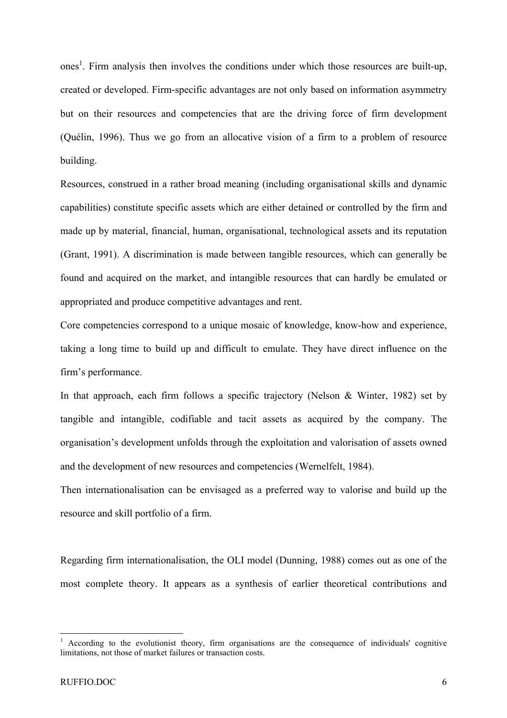ones<sup>1</sup>. Firm analysis then involves the conditions under which those resources are built-up, created or developed. Firm-specific advantages are not only based on information asymmetry but on their resources and competencies that are the driving force of firm development (Quélin, 1996). Thus we go from an allocative vision of a firm to a problem of resource building.

Resources, construed in a rather broad meaning (including organisational skills and dynamic capabilities) constitute specific assets which are either detained or controlled by the firm and made up by material, financial, human, organisational, technological assets and its reputation (Grant, 1991). A discrimination is made between tangible resources, which can generally be found and acquired on the market, and intangible resources that can hardly be emulated or appropriated and produce competitive advantages and rent.

Core competencies correspond to a unique mosaic of knowledge, know-how and experience, taking a long time to build up and difficult to emulate. They have direct influence on the firm's performance.

In that approach, each firm follows a specific trajectory (Nelson & Winter, 1982) set by tangible and intangible, codifiable and tacit assets as acquired by the company. The organisation's development unfolds through the exploitation and valorisation of assets owned and the development of new resources and competencies (Wernelfelt, 1984).

Then internationalisation can be envisaged as a preferred way to valorise and build up the resource and skill portfolio of a firm.

Regarding firm internationalisation, the OLI model (Dunning, 1988) comes out as one of the most complete theory. It appears as a synthesis of earlier theoretical contributions and

1

<sup>1</sup> According to the evolutionist theory, firm organisations are the consequence of individuals' cognitive limitations, not those of market failures or transaction costs.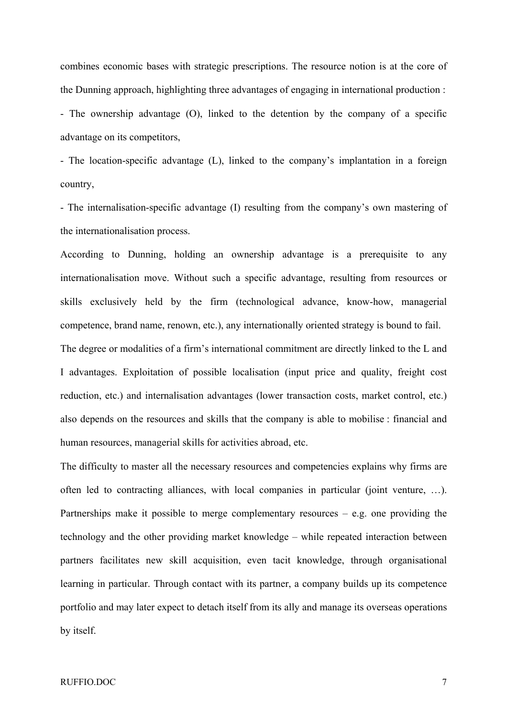combines economic bases with strategic prescriptions. The resource notion is at the core of the Dunning approach, highlighting three advantages of engaging in international production :

- The ownership advantage (O), linked to the detention by the company of a specific advantage on its competitors,

- The location-specific advantage (L), linked to the company's implantation in a foreign country,

- The internalisation-specific advantage (I) resulting from the company's own mastering of the internationalisation process.

According to Dunning, holding an ownership advantage is a prerequisite to any internationalisation move. Without such a specific advantage, resulting from resources or skills exclusively held by the firm (technological advance, know-how, managerial competence, brand name, renown, etc.), any internationally oriented strategy is bound to fail.

The degree or modalities of a firm's international commitment are directly linked to the L and I advantages. Exploitation of possible localisation (input price and quality, freight cost reduction, etc.) and internalisation advantages (lower transaction costs, market control, etc.) also depends on the resources and skills that the company is able to mobilise : financial and human resources, managerial skills for activities abroad, etc.

The difficulty to master all the necessary resources and competencies explains why firms are often led to contracting alliances, with local companies in particular (joint venture, …). Partnerships make it possible to merge complementary resources  $-$  e.g. one providing the technology and the other providing market knowledge – while repeated interaction between partners facilitates new skill acquisition, even tacit knowledge, through organisational learning in particular. Through contact with its partner, a company builds up its competence portfolio and may later expect to detach itself from its ally and manage its overseas operations by itself.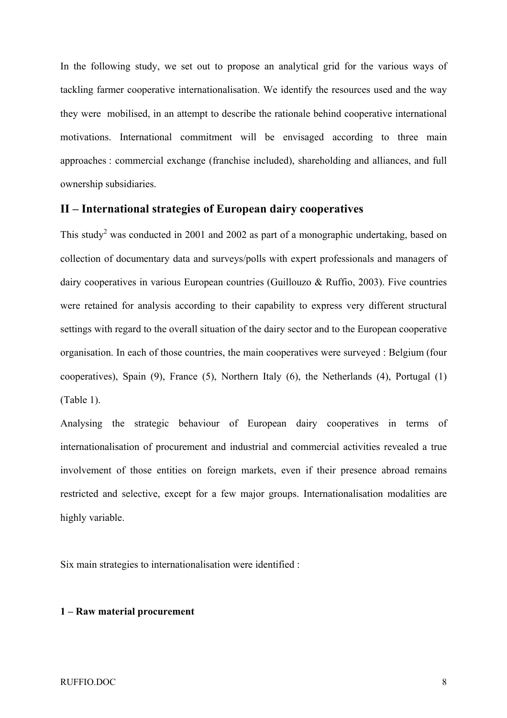In the following study, we set out to propose an analytical grid for the various ways of tackling farmer cooperative internationalisation. We identify the resources used and the way they were mobilised, in an attempt to describe the rationale behind cooperative international motivations. International commitment will be envisaged according to three main approaches : commercial exchange (franchise included), shareholding and alliances, and full ownership subsidiaries.

# **II – International strategies of European dairy cooperatives**

This study<sup>2</sup> was conducted in 2001 and 2002 as part of a monographic undertaking, based on collection of documentary data and surveys/polls with expert professionals and managers of dairy cooperatives in various European countries (Guillouzo & Ruffio, 2003). Five countries were retained for analysis according to their capability to express very different structural settings with regard to the overall situation of the dairy sector and to the European cooperative organisation. In each of those countries, the main cooperatives were surveyed : Belgium (four cooperatives), Spain (9), France (5), Northern Italy (6), the Netherlands (4), Portugal (1) (Table 1).

Analysing the strategic behaviour of European dairy cooperatives in terms of internationalisation of procurement and industrial and commercial activities revealed a true involvement of those entities on foreign markets, even if their presence abroad remains restricted and selective, except for a few major groups. Internationalisation modalities are highly variable.

Six main strategies to internationalisation were identified :

# **1 – Raw material procurement**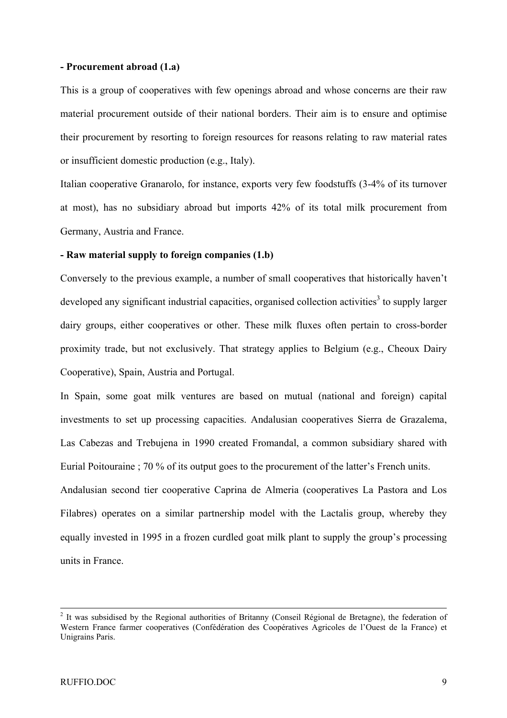#### **- Procurement abroad (1.a)**

This is a group of cooperatives with few openings abroad and whose concerns are their raw material procurement outside of their national borders. Their aim is to ensure and optimise their procurement by resorting to foreign resources for reasons relating to raw material rates or insufficient domestic production (e.g., Italy).

Italian cooperative Granarolo, for instance, exports very few foodstuffs (3-4% of its turnover at most), has no subsidiary abroad but imports 42% of its total milk procurement from Germany, Austria and France.

### **- Raw material supply to foreign companies (1.b)**

Conversely to the previous example, a number of small cooperatives that historically haven't developed any significant industrial capacities, organised collection activities<sup>3</sup> to supply larger dairy groups, either cooperatives or other. These milk fluxes often pertain to cross-border proximity trade, but not exclusively. That strategy applies to Belgium (e.g., Cheoux Dairy Cooperative), Spain, Austria and Portugal.

In Spain, some goat milk ventures are based on mutual (national and foreign) capital investments to set up processing capacities. Andalusian cooperatives Sierra de Grazalema, Las Cabezas and Trebujena in 1990 created Fromandal, a common subsidiary shared with Eurial Poitouraine ; 70 % of its output goes to the procurement of the latter's French units.

Andalusian second tier cooperative Caprina de Almeria (cooperatives La Pastora and Los Filabres) operates on a similar partnership model with the Lactalis group, whereby they equally invested in 1995 in a frozen curdled goat milk plant to supply the group's processing units in France.

 $\frac{1}{2}$ <sup>2</sup> It was subsidised by the Regional authorities of Britanny (Conseil Régional de Bretagne), the federation of Western France farmer cooperatives (Confédération des Coopératives Agricoles de l'Ouest de la France) et Unigrains Paris.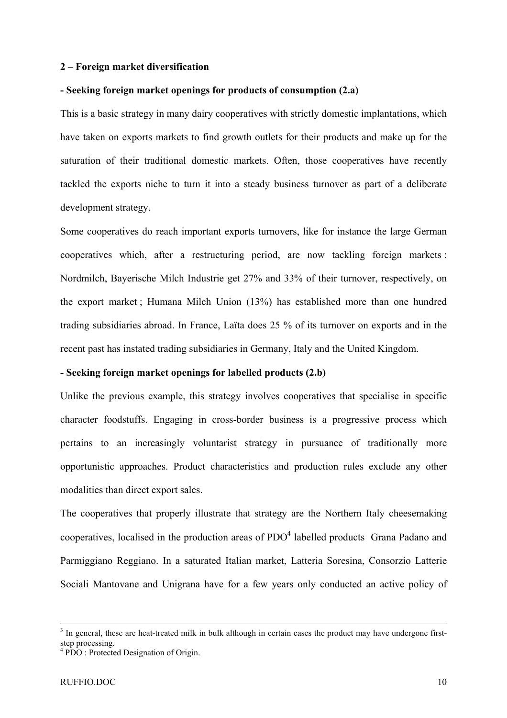#### **2 – Foreign market diversification**

# **- Seeking foreign market openings for products of consumption (2.a)**

This is a basic strategy in many dairy cooperatives with strictly domestic implantations, which have taken on exports markets to find growth outlets for their products and make up for the saturation of their traditional domestic markets. Often, those cooperatives have recently tackled the exports niche to turn it into a steady business turnover as part of a deliberate development strategy.

Some cooperatives do reach important exports turnovers, like for instance the large German cooperatives which, after a restructuring period, are now tackling foreign markets : Nordmilch, Bayerische Milch Industrie get 27% and 33% of their turnover, respectively, on the export market ; Humana Milch Union (13%) has established more than one hundred trading subsidiaries abroad. In France, Laïta does 25 % of its turnover on exports and in the recent past has instated trading subsidiaries in Germany, Italy and the United Kingdom.

# **- Seeking foreign market openings for labelled products (2.b)**

Unlike the previous example, this strategy involves cooperatives that specialise in specific character foodstuffs. Engaging in cross-border business is a progressive process which pertains to an increasingly voluntarist strategy in pursuance of traditionally more opportunistic approaches. Product characteristics and production rules exclude any other modalities than direct export sales.

The cooperatives that properly illustrate that strategy are the Northern Italy cheesemaking cooperatives, localised in the production areas of  $PDO<sup>4</sup>$  labelled products Grana Padano and Parmiggiano Reggiano. In a saturated Italian market, Latteria Soresina, Consorzio Latterie Sociali Mantovane and Unigrana have for a few years only conducted an active policy of

<sup>-&</sup>lt;br>3  $3$  In general, these are heat-treated milk in bulk although in certain cases the product may have undergone firststep processing.

<sup>4</sup> PDO : Protected Designation of Origin.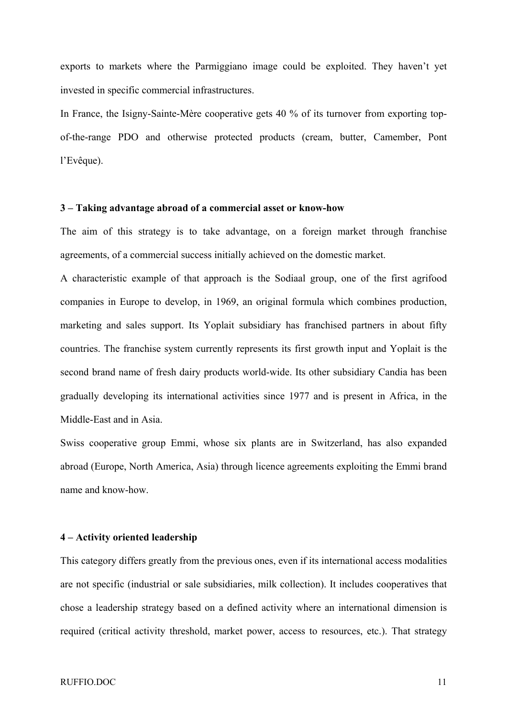exports to markets where the Parmiggiano image could be exploited. They haven't yet invested in specific commercial infrastructures.

In France, the Isigny-Sainte-Mère cooperative gets 40 % of its turnover from exporting topof-the-range PDO and otherwise protected products (cream, butter, Camember, Pont l'Evêque).

# **3 – Taking advantage abroad of a commercial asset or know-how**

The aim of this strategy is to take advantage, on a foreign market through franchise agreements, of a commercial success initially achieved on the domestic market.

A characteristic example of that approach is the Sodiaal group, one of the first agrifood companies in Europe to develop, in 1969, an original formula which combines production, marketing and sales support. Its Yoplait subsidiary has franchised partners in about fifty countries. The franchise system currently represents its first growth input and Yoplait is the second brand name of fresh dairy products world-wide. Its other subsidiary Candia has been gradually developing its international activities since 1977 and is present in Africa, in the Middle-East and in Asia.

Swiss cooperative group Emmi, whose six plants are in Switzerland, has also expanded abroad (Europe, North America, Asia) through licence agreements exploiting the Emmi brand name and know-how.

# **4 – Activity oriented leadership**

This category differs greatly from the previous ones, even if its international access modalities are not specific (industrial or sale subsidiaries, milk collection). It includes cooperatives that chose a leadership strategy based on a defined activity where an international dimension is required (critical activity threshold, market power, access to resources, etc.). That strategy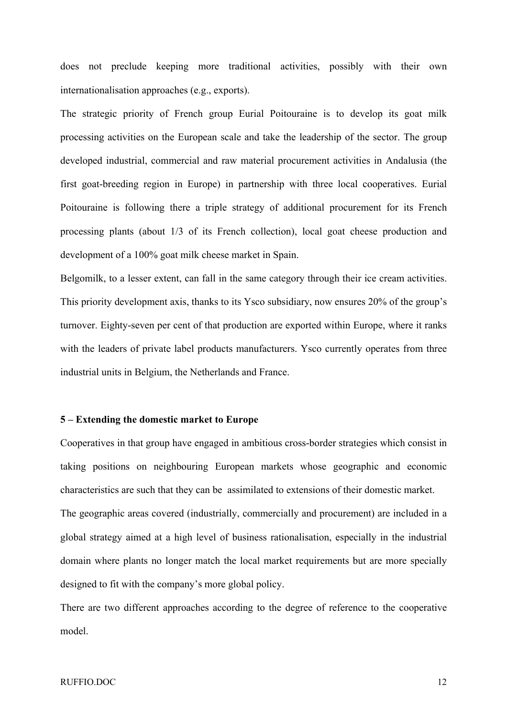does not preclude keeping more traditional activities, possibly with their own internationalisation approaches (e.g., exports).

The strategic priority of French group Eurial Poitouraine is to develop its goat milk processing activities on the European scale and take the leadership of the sector. The group developed industrial, commercial and raw material procurement activities in Andalusia (the first goat-breeding region in Europe) in partnership with three local cooperatives. Eurial Poitouraine is following there a triple strategy of additional procurement for its French processing plants (about 1/3 of its French collection), local goat cheese production and development of a 100% goat milk cheese market in Spain.

Belgomilk, to a lesser extent, can fall in the same category through their ice cream activities. This priority development axis, thanks to its Ysco subsidiary, now ensures 20% of the group's turnover. Eighty-seven per cent of that production are exported within Europe, where it ranks with the leaders of private label products manufacturers. Ysco currently operates from three industrial units in Belgium, the Netherlands and France.

# **5 – Extending the domestic market to Europe**

Cooperatives in that group have engaged in ambitious cross-border strategies which consist in taking positions on neighbouring European markets whose geographic and economic characteristics are such that they can be assimilated to extensions of their domestic market. The geographic areas covered (industrially, commercially and procurement) are included in a global strategy aimed at a high level of business rationalisation, especially in the industrial domain where plants no longer match the local market requirements but are more specially

designed to fit with the company's more global policy.

There are two different approaches according to the degree of reference to the cooperative model.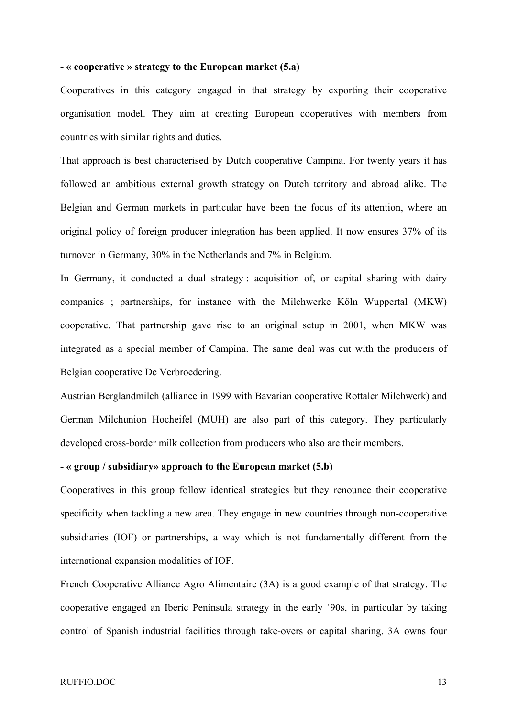#### **- « cooperative » strategy to the European market (5.a)**

Cooperatives in this category engaged in that strategy by exporting their cooperative organisation model. They aim at creating European cooperatives with members from countries with similar rights and duties.

That approach is best characterised by Dutch cooperative Campina. For twenty years it has followed an ambitious external growth strategy on Dutch territory and abroad alike. The Belgian and German markets in particular have been the focus of its attention, where an original policy of foreign producer integration has been applied. It now ensures 37% of its turnover in Germany, 30% in the Netherlands and 7% in Belgium.

In Germany, it conducted a dual strategy : acquisition of, or capital sharing with dairy companies ; partnerships, for instance with the Milchwerke Köln Wuppertal (MKW) cooperative. That partnership gave rise to an original setup in 2001, when MKW was integrated as a special member of Campina. The same deal was cut with the producers of Belgian cooperative De Verbroedering.

Austrian Berglandmilch (alliance in 1999 with Bavarian cooperative Rottaler Milchwerk) and German Milchunion Hocheifel (MUH) are also part of this category. They particularly developed cross-border milk collection from producers who also are their members.

# **- « group / subsidiary» approach to the European market (5.b)**

Cooperatives in this group follow identical strategies but they renounce their cooperative specificity when tackling a new area. They engage in new countries through non-cooperative subsidiaries (IOF) or partnerships, a way which is not fundamentally different from the international expansion modalities of IOF.

French Cooperative Alliance Agro Alimentaire (3A) is a good example of that strategy. The cooperative engaged an Iberic Peninsula strategy in the early '90s, in particular by taking control of Spanish industrial facilities through take-overs or capital sharing. 3A owns four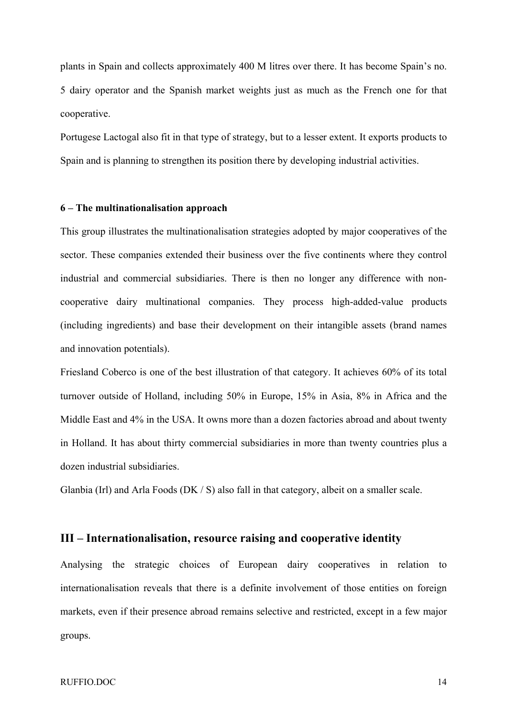plants in Spain and collects approximately 400 M litres over there. It has become Spain's no. 5 dairy operator and the Spanish market weights just as much as the French one for that cooperative.

Portugese Lactogal also fit in that type of strategy, but to a lesser extent. It exports products to Spain and is planning to strengthen its position there by developing industrial activities.

# **6 – The multinationalisation approach**

This group illustrates the multinationalisation strategies adopted by major cooperatives of the sector. These companies extended their business over the five continents where they control industrial and commercial subsidiaries. There is then no longer any difference with noncooperative dairy multinational companies. They process high-added-value products (including ingredients) and base their development on their intangible assets (brand names and innovation potentials).

Friesland Coberco is one of the best illustration of that category. It achieves 60% of its total turnover outside of Holland, including 50% in Europe, 15% in Asia, 8% in Africa and the Middle East and 4% in the USA. It owns more than a dozen factories abroad and about twenty in Holland. It has about thirty commercial subsidiaries in more than twenty countries plus a dozen industrial subsidiaries.

Glanbia (Irl) and Arla Foods (DK  $/$  S) also fall in that category, albeit on a smaller scale.

# **III – Internationalisation, resource raising and cooperative identity**

Analysing the strategic choices of European dairy cooperatives in relation to internationalisation reveals that there is a definite involvement of those entities on foreign markets, even if their presence abroad remains selective and restricted, except in a few major groups.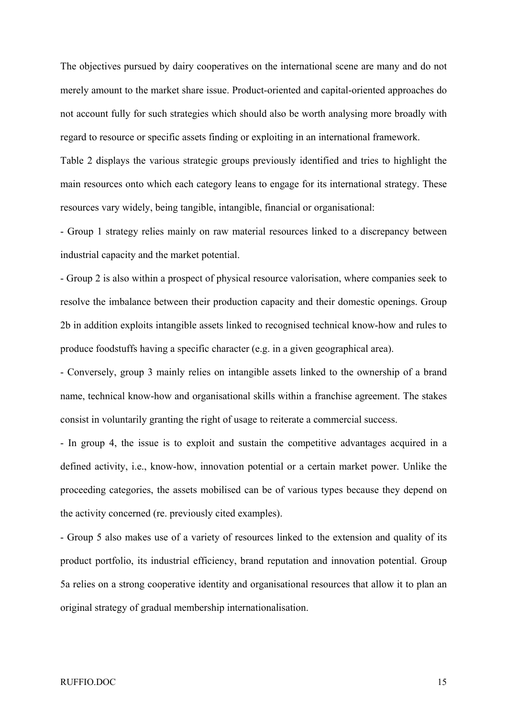The objectives pursued by dairy cooperatives on the international scene are many and do not merely amount to the market share issue. Product-oriented and capital-oriented approaches do not account fully for such strategies which should also be worth analysing more broadly with regard to resource or specific assets finding or exploiting in an international framework.

Table 2 displays the various strategic groups previously identified and tries to highlight the main resources onto which each category leans to engage for its international strategy. These resources vary widely, being tangible, intangible, financial or organisational:

- Group 1 strategy relies mainly on raw material resources linked to a discrepancy between industrial capacity and the market potential.

- Group 2 is also within a prospect of physical resource valorisation, where companies seek to resolve the imbalance between their production capacity and their domestic openings. Group 2b in addition exploits intangible assets linked to recognised technical know-how and rules to produce foodstuffs having a specific character (e.g. in a given geographical area).

- Conversely, group 3 mainly relies on intangible assets linked to the ownership of a brand name, technical know-how and organisational skills within a franchise agreement. The stakes consist in voluntarily granting the right of usage to reiterate a commercial success.

- In group 4, the issue is to exploit and sustain the competitive advantages acquired in a defined activity, i.e., know-how, innovation potential or a certain market power. Unlike the proceeding categories, the assets mobilised can be of various types because they depend on the activity concerned (re. previously cited examples).

- Group 5 also makes use of a variety of resources linked to the extension and quality of its product portfolio, its industrial efficiency, brand reputation and innovation potential. Group 5a relies on a strong cooperative identity and organisational resources that allow it to plan an original strategy of gradual membership internationalisation.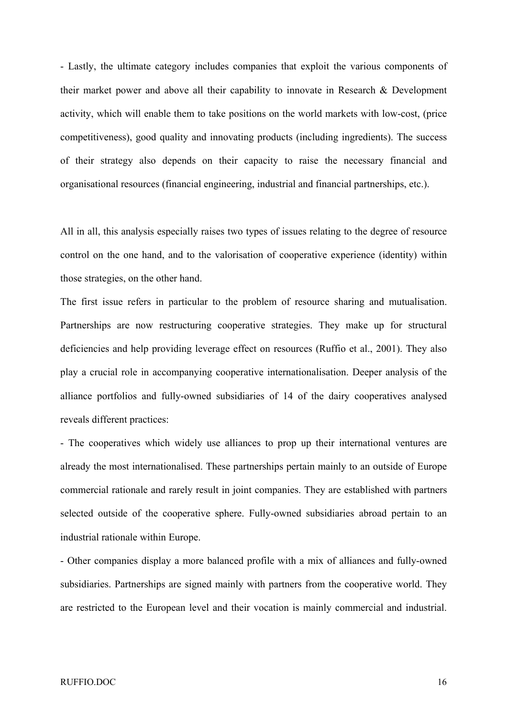- Lastly, the ultimate category includes companies that exploit the various components of their market power and above all their capability to innovate in Research & Development activity, which will enable them to take positions on the world markets with low-cost, (price competitiveness), good quality and innovating products (including ingredients). The success of their strategy also depends on their capacity to raise the necessary financial and organisational resources (financial engineering, industrial and financial partnerships, etc.).

All in all, this analysis especially raises two types of issues relating to the degree of resource control on the one hand, and to the valorisation of cooperative experience (identity) within those strategies, on the other hand.

The first issue refers in particular to the problem of resource sharing and mutualisation. Partnerships are now restructuring cooperative strategies. They make up for structural deficiencies and help providing leverage effect on resources (Ruffio et al., 2001). They also play a crucial role in accompanying cooperative internationalisation. Deeper analysis of the alliance portfolios and fully-owned subsidiaries of 14 of the dairy cooperatives analysed reveals different practices:

- The cooperatives which widely use alliances to prop up their international ventures are already the most internationalised. These partnerships pertain mainly to an outside of Europe commercial rationale and rarely result in joint companies. They are established with partners selected outside of the cooperative sphere. Fully-owned subsidiaries abroad pertain to an industrial rationale within Europe.

- Other companies display a more balanced profile with a mix of alliances and fully-owned subsidiaries. Partnerships are signed mainly with partners from the cooperative world. They are restricted to the European level and their vocation is mainly commercial and industrial.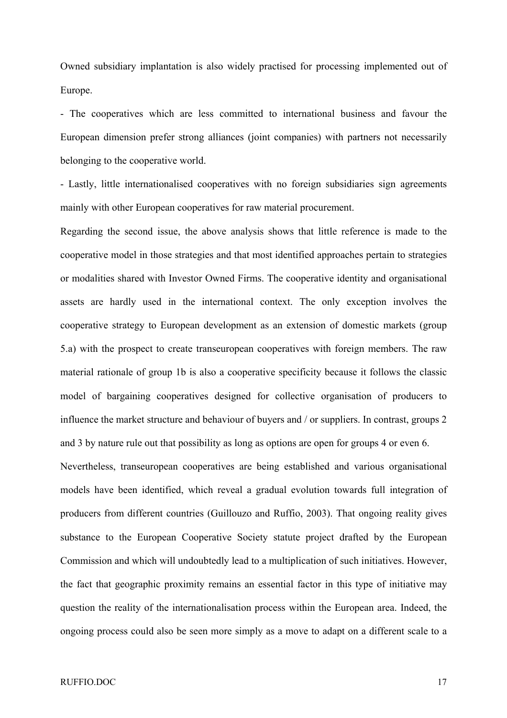Owned subsidiary implantation is also widely practised for processing implemented out of Europe.

- The cooperatives which are less committed to international business and favour the European dimension prefer strong alliances (joint companies) with partners not necessarily belonging to the cooperative world.

- Lastly, little internationalised cooperatives with no foreign subsidiaries sign agreements mainly with other European cooperatives for raw material procurement.

Regarding the second issue, the above analysis shows that little reference is made to the cooperative model in those strategies and that most identified approaches pertain to strategies or modalities shared with Investor Owned Firms. The cooperative identity and organisational assets are hardly used in the international context. The only exception involves the cooperative strategy to European development as an extension of domestic markets (group 5.a) with the prospect to create transeuropean cooperatives with foreign members. The raw material rationale of group 1b is also a cooperative specificity because it follows the classic model of bargaining cooperatives designed for collective organisation of producers to influence the market structure and behaviour of buyers and / or suppliers. In contrast, groups 2 and 3 by nature rule out that possibility as long as options are open for groups 4 or even 6.

Nevertheless, transeuropean cooperatives are being established and various organisational models have been identified, which reveal a gradual evolution towards full integration of producers from different countries (Guillouzo and Ruffio, 2003). That ongoing reality gives substance to the European Cooperative Society statute project drafted by the European Commission and which will undoubtedly lead to a multiplication of such initiatives. However, the fact that geographic proximity remains an essential factor in this type of initiative may question the reality of the internationalisation process within the European area. Indeed, the ongoing process could also be seen more simply as a move to adapt on a different scale to a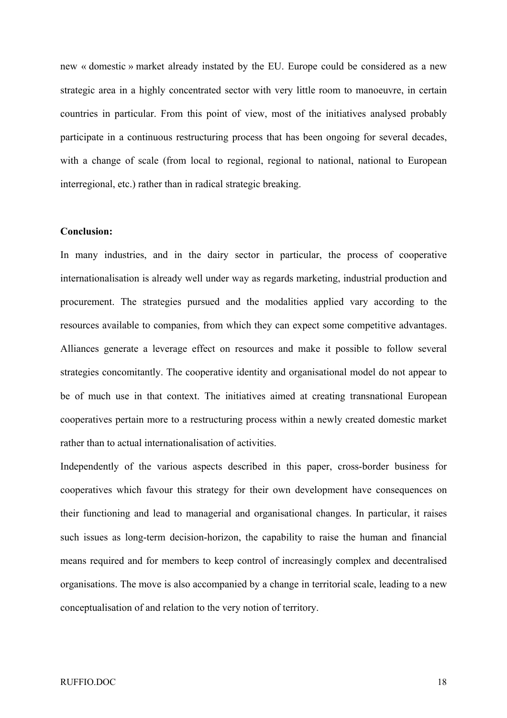new « domestic » market already instated by the EU. Europe could be considered as a new strategic area in a highly concentrated sector with very little room to manoeuvre, in certain countries in particular. From this point of view, most of the initiatives analysed probably participate in a continuous restructuring process that has been ongoing for several decades, with a change of scale (from local to regional, regional to national, national to European interregional, etc.) rather than in radical strategic breaking.

# **Conclusion:**

In many industries, and in the dairy sector in particular, the process of cooperative internationalisation is already well under way as regards marketing, industrial production and procurement. The strategies pursued and the modalities applied vary according to the resources available to companies, from which they can expect some competitive advantages. Alliances generate a leverage effect on resources and make it possible to follow several strategies concomitantly. The cooperative identity and organisational model do not appear to be of much use in that context. The initiatives aimed at creating transnational European cooperatives pertain more to a restructuring process within a newly created domestic market rather than to actual internationalisation of activities.

Independently of the various aspects described in this paper, cross-border business for cooperatives which favour this strategy for their own development have consequences on their functioning and lead to managerial and organisational changes. In particular, it raises such issues as long-term decision-horizon, the capability to raise the human and financial means required and for members to keep control of increasingly complex and decentralised organisations. The move is also accompanied by a change in territorial scale, leading to a new conceptualisation of and relation to the very notion of territory.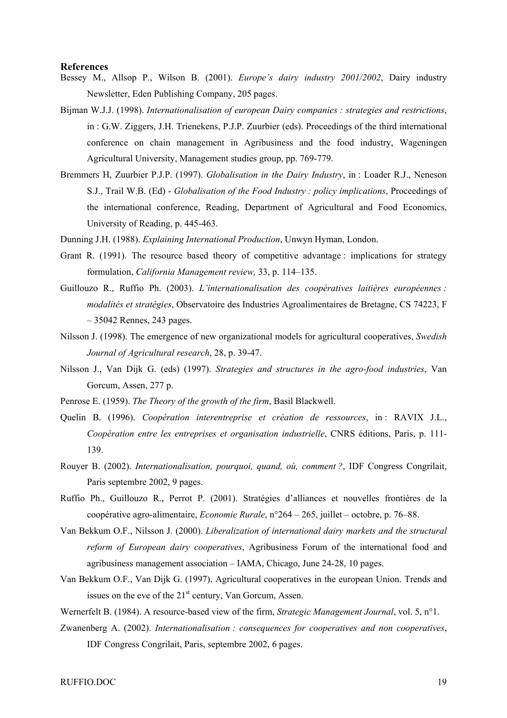#### **References**

- Bessey M., Allsop P., Wilson B. (2001). *Europe's dairy industry 2001/2002*, Dairy industry Newsletter, Eden Publishing Company, 205 pages.
- Bijman W.J.J. (1998). *Internationalisation of european Dairy companies : strategies and restrictions*, in : G.W. Ziggers, J.H. Trienekens, P.J.P. Zuurbier (eds). Proceedings of the third international conference on chain management in Agribusiness and the food industry, Wageningen Agricultural University, Management studies group, pp. 769-779.
- Bremmers H, Zuurbier P.J.P. (1997). *Globalisation in the Dairy Industry*, in : Loader R.J., Neneson S.J., Trail W.B. (Ed) - *Globalisation of the Food Industry : policy implications*, Proceedings of the international conference, Reading, Department of Agricultural and Food Economics, University of Reading, p. 445-463.
- Dunning J.H. (1988). *Explaining International Production*, Unwyn Hyman, London.
- Grant R. (1991). The resource based theory of competitive advantage : implications for strategy formulation, *California Management review,* 33, p. 114–135.
- Guillouzo R., Ruffio Ph. (2003). *L'internationalisation des coopératives laitières européennes : modalités et stratégies*, Observatoire des Industries Agroalimentaires de Bretagne, CS 74223, F – 35042 Rennes, 243 pages.
- Nilsson J. (1998). The emergence of new organizational models for agricultural cooperatives, *Swedish Journal of Agricultural research*, 28, p. 39-47.
- Nilsson J., Van Dijk G. (eds) (1997). *Strategies and structures in the agro-food industries*, Van Gorcum, Assen, 277 p.
- Penrose E. (1959). *The Theory of the growth of the firm*, Basil Blackwell.
- Quelin B. (1996). *Coopération interentreprise et création de ressources*, in : RAVIX J.L., *Coopération entre les entreprises et organisation industrielle*, CNRS éditions, Paris, p. 111- 139.
- Rouyer B. (2002). *Internationalisation, pourquoi, quand, où, comment ?*, IDF Congress Congrilait, Paris septembre 2002, 9 pages.
- Ruffio Ph., Guillouzo R., Perrot P. (2001). Stratégies d'alliances et nouvelles frontières de la coopérative agro-alimentaire, *Economie Rurale*, n°264 – 265, juillet – octobre, p. 76–88.
- Van Bekkum O.F., Nilsson J. (2000). *Liberalization of international dairy markets and the structural reform of European dairy cooperatives*, Agribusiness Forum of the international food and agribusiness management association – IAMA, Chicago, June 24-28, 10 pages.
- Van Bekkum O.F., Van Dijk G. (1997). Agricultural cooperatives in the european Union. Trends and issues on the eve of the  $21<sup>st</sup>$  century, Van Gorcum, Assen.
- Wernerfelt B. (1984). A resource-based view of the firm, *Strategic Management Journal*, vol. 5, n°1.
- Zwanenberg A. (2002). *Internationalisation : consequences for cooperatives and non cooperatives*, IDF Congress Congrilait, Paris, septembre 2002, 6 pages.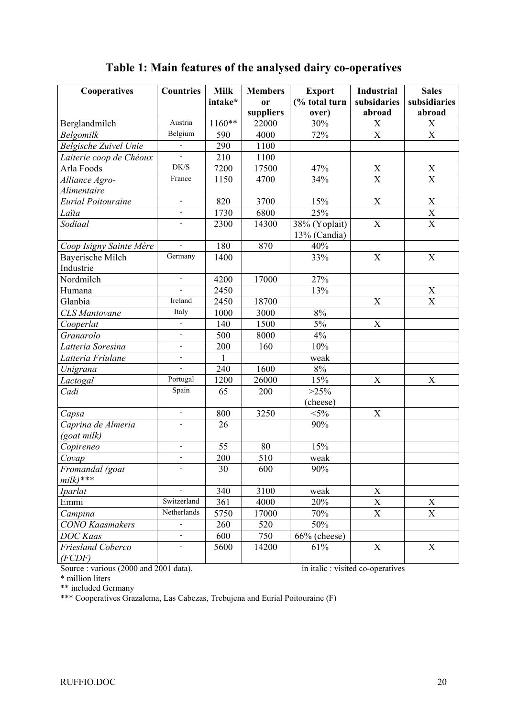# **Table 1: Main features of the analysed dairy co-operatives**

| Cooperatives              | <b>Countries</b>             | <b>Milk</b>  | <b>Members</b> | <b>Export</b> | <b>Industrial</b>         | <b>Sales</b>              |
|---------------------------|------------------------------|--------------|----------------|---------------|---------------------------|---------------------------|
|                           |                              | intake*      | <sub>or</sub>  | (% total turn | subsidaries               | subsidiaries              |
|                           |                              |              | suppliers      | over)         | abroad                    | abroad                    |
| Berglandmilch             | Austria                      | $1160**$     | 22000          | 30%           | X                         | X                         |
| Belgomilk                 | Belgium                      | 590          | 4000           | 72%           | $\overline{\mathrm{X}}$   | $\overline{\mathbf{X}}$   |
| Belgische Zuivel Unie     | $\overline{\phantom{a}}$     | 290          | 1100           |               |                           |                           |
| Laiterie coop de Chéoux   | ÷,                           | 210          | 1100           |               |                           |                           |
| Arla Foods                | DK/S                         | 7200         | 17500          | 47%           |                           |                           |
| Alliance Agro-            | France                       | 1150         | 4700           | 34%           | $\frac{X}{X}$             | $\frac{X}{X}$             |
| Alimentaire               |                              |              |                |               |                           |                           |
| <b>Eurial Poitouraine</b> | $\blacksquare$               | 820          | 3700           | 15%           | X                         | $\boldsymbol{\mathrm{X}}$ |
| Laïta                     | $\blacksquare$               | 1730         | 6800           | 25%           |                           | $\mathbf X$               |
| Sodiaal                   |                              | 2300         | 14300          | 38% (Yoplait) | $\boldsymbol{\mathrm{X}}$ | $\overline{X}$            |
|                           |                              |              |                | 13% (Candia)  |                           |                           |
| Coop Isigny Sainte Mère   |                              | 180          | 870            | 40%           |                           |                           |
| <b>Bayerische Milch</b>   | Germany                      | 1400         |                | 33%           | X                         | X                         |
| Industrie                 |                              |              |                |               |                           |                           |
| Nordmilch                 | $\blacksquare$               | 4200         | 17000          | 27%           |                           |                           |
| Humana                    | $\overline{a}$               | 2450         |                | 13%           |                           |                           |
| Glanbia                   | Ireland                      | 2450         | 18700          |               | X                         | $\frac{X}{X}$             |
| <b>CLS</b> Mantovane      | Italy                        | 1000         | 3000           | 8%            |                           |                           |
| Cooperlat                 | $\overline{\phantom{a}}$     | 140          | 1500           | $5\%$         | $\boldsymbol{\mathrm{X}}$ |                           |
| Granarolo                 | $\overline{\phantom{a}}$     | 500          | 8000           | 4%            |                           |                           |
| Latteria Soresina         | $\blacksquare$               | 200          | 160            | 10%           |                           |                           |
| Latteria Friulane         | $\overline{\phantom{m}}$     | $\mathbf{1}$ |                | weak          |                           |                           |
| Unigrana                  |                              | 240          | 1600           | $8\%$         |                           |                           |
| Lactogal                  | Portugal                     | 1200         | 26000          | 15%           | $\boldsymbol{\mathrm{X}}$ | $\boldsymbol{X}$          |
| Cadi                      | Spain                        | 65           | 200            | $>25\%$       |                           |                           |
|                           |                              |              |                | (cheese)      |                           |                           |
| Capsa                     | $\frac{1}{2}$                | 800          | 3250           | $<$ 5%        | X                         |                           |
| Caprina de Almeria        |                              | 26           |                | 90%           |                           |                           |
| (goat milk)               |                              |              |                |               |                           |                           |
| Copireneo                 | $\qquad \qquad \blacksquare$ | 55           | 80             | 15%           |                           |                           |
| Covap                     | $\overline{\phantom{a}}$     | 200          | 510            | weak          |                           |                           |
| Fromandal (goat           |                              | 30           | 600            | 90%           |                           |                           |
| $milk)$ ***               |                              |              |                |               |                           |                           |
| <b>Iparlat</b>            |                              | 340          | 3100           | weak          | $\mathbf X$               |                           |
| Emmi                      | Switzerland                  | 361          | 4000           | 20%           | X                         | $\mathbf X$               |
| Campina                   | Netherlands                  | 5750         | 17000          | 70%           | $\overline{\text{X}}$     | $\overline{X}$            |
| <b>CONO</b> Kaasmakers    |                              | 260          | 520            | 50%           |                           |                           |
| <b>DOC</b> Kaas           | ä,                           | 600          | 750            | 66% (cheese)  |                           |                           |
| Friesland Coberco         |                              | 5600         | 14200          | 61%           | $\boldsymbol{\mathrm{X}}$ | $\mathbf X$               |
| (FCDF)                    |                              |              |                |               |                           |                           |

Source : various (2000 and 2001 data). in italic : visited co-operatives

\* million liters

\*\* included Germany

\*\*\* Cooperatives Grazalema, Las Cabezas, Trebujena and Eurial Poitouraine (F)